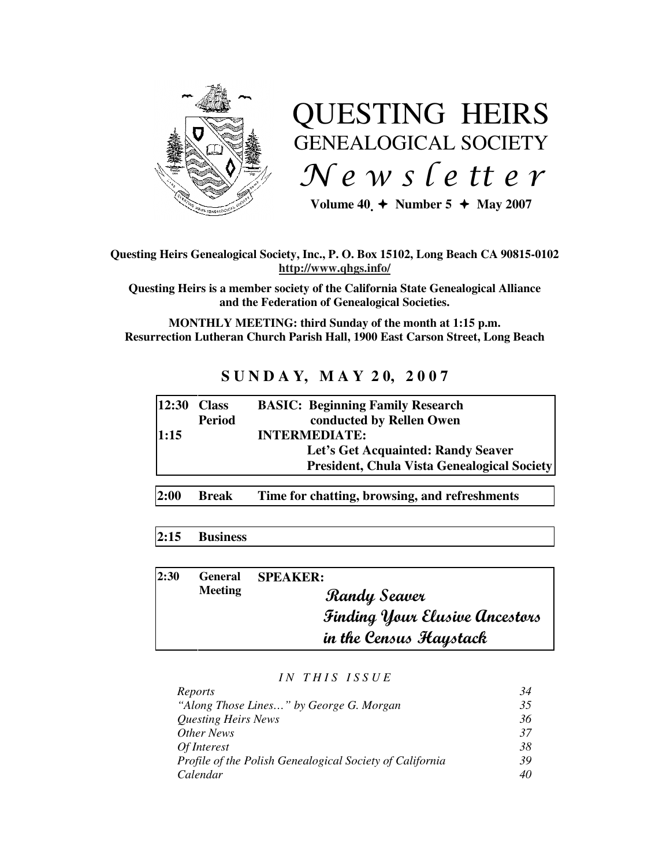

# QUESTING HEIRS GENEALOGICAL SOCIETY  $Ne$  w s letter

Volume  $40 \div \text{Number 5} \div \text{May } 2007$ 

## **Questing Heirs Genealogical Society, Inc., P. O. Box 15102, Long Beach CA 90815-0102 http://www.qhgs.info/**

**Questing Heirs is a member society of the California State Genealogical Alliance and the Federation of Genealogical Societies.**

**MONTHLY MEETING: third Sunday of the month at 1:15 p.m. Resurrection Lutheran Church Parish Hall, 1900 East Carson Street, Long Beach** 

## **S U N D A Y, M A Y 2 0, 2 0 0 7**

| 12:30 | <b>Class</b>  | <b>BASIC: Beginning Family Research</b>            |
|-------|---------------|----------------------------------------------------|
|       | <b>Period</b> | conducted by Rellen Owen                           |
| 1:15  |               | <b>INTERMEDIATE:</b>                               |
|       |               | Let's Get Acquainted: Randy Seaver                 |
|       |               | <b>President, Chula Vista Genealogical Society</b> |
|       |               |                                                    |

**2:00 Break Time for chatting, browsing, and refreshments** 

## **2:15 Business**

| 2:30 | <b>General</b><br><b>Meeting</b> | <b>SPEAKER:</b>                       |
|------|----------------------------------|---------------------------------------|
|      |                                  | Randy Seaver                          |
|      |                                  | <b>Finding Your Elusive Ancestors</b> |
|      |                                  | in the Census Haystack                |

#### *I N T H I S I S S U E*

| Reports                                                  | 34 |
|----------------------------------------------------------|----|
| "Along Those Lines" by George G. Morgan                  | 35 |
| <b>Questing Heirs News</b>                               | 36 |
| Other News                                               | 37 |
| Of Interest                                              | 38 |
| Profile of the Polish Genealogical Society of California | 39 |
| Calendar                                                 | 40 |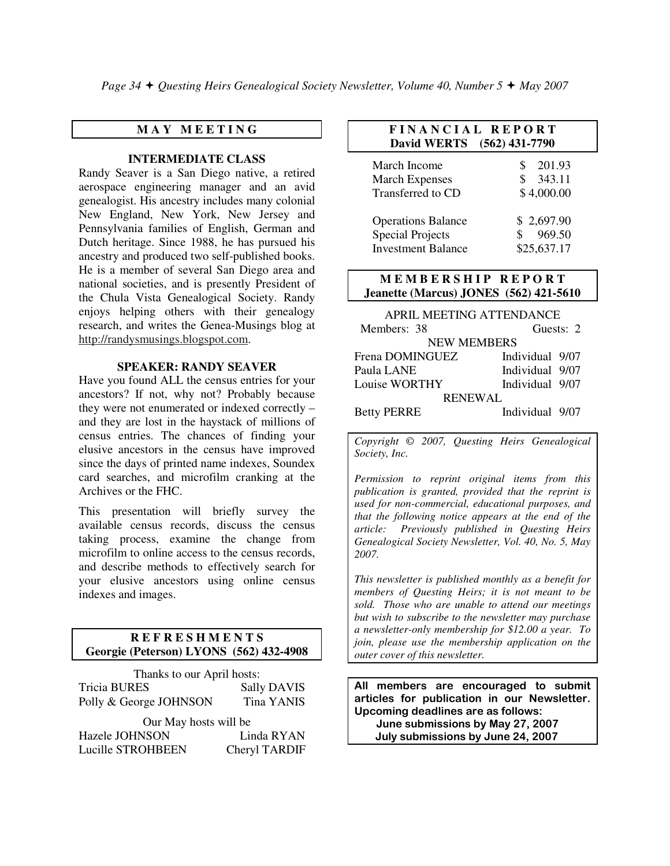*Page 34 Questing Heirs Genealogical Society Newsletter, Volume 40, Number 5 May 2007*

## **M A Y M E E T I N G**

#### **INTERMEDIATE CLASS**

Randy Seaver is a San Diego native, a retired aerospace engineering manager and an avid genealogist. His ancestry includes many colonial New England, New York, New Jersey and Pennsylvania families of English, German and Dutch heritage. Since 1988, he has pursued his ancestry and produced two self-published books. He is a member of several San Diego area and national societies, and is presently President of the Chula Vista Genealogical Society. Randy enjoys helping others with their genealogy research, and writes the Genea-Musings blog at http://randysmusings.blogspot.com.

#### **SPEAKER: RANDY SEAVER**

Have you found ALL the census entries for your ancestors? If not, why not? Probably because they were not enumerated or indexed correctly – and they are lost in the haystack of millions of census entries. The chances of finding your elusive ancestors in the census have improved since the days of printed name indexes, Soundex card searches, and microfilm cranking at the Archives or the FHC.

This presentation will briefly survey the available census records, discuss the census taking process, examine the change from microfilm to online access to the census records, and describe methods to effectively search for your elusive ancestors using online census indexes and images.

## **R E F R E S H M E N T S Georgie (Peterson) LYONS (562) 432-4908**

| Thanks to our April hosts: |                    |  |  |  |
|----------------------------|--------------------|--|--|--|
| <b>Tricia BURES</b>        | <b>Sally DAVIS</b> |  |  |  |
| Polly & George JOHNSON     | <b>Tina YANIS</b>  |  |  |  |
| Our May hosts will be      |                    |  |  |  |
| Hazele JOHNSON             | Linda RYAN         |  |  |  |
| Lucille STROHBEEN          | Cheryl TARDIF      |  |  |  |

### **F I N A N C I A L R E P O R T David WERTS (562) 431-7790**

| March Income<br><b>March Expenses</b><br>Transferred to CD | 201.93<br>343.11<br>S.<br>\$4,000.00 |
|------------------------------------------------------------|--------------------------------------|
| <b>Operations Balance</b><br><b>Special Projects</b>       | \$2,697.90<br>969.50                 |
| <b>Investment Balance</b>                                  | \$25,637.17                          |

#### **MEMBERSHIP REPORT Jeanette (Marcus) JONES (562) 421-5610**

| APRIL MEETING ATTENDANCE |                 |  |  |  |  |
|--------------------------|-----------------|--|--|--|--|
| Members: 38              | Guests: 2       |  |  |  |  |
| <b>NEW MEMBERS</b>       |                 |  |  |  |  |
| Frena DOMINGUEZ          | Individual 9/07 |  |  |  |  |
| Paula LANE               | Individual 9/07 |  |  |  |  |
| Louise WORTHY            | Individual 9/07 |  |  |  |  |
| <b>RENEWAL</b>           |                 |  |  |  |  |
| <b>Betty PERRE</b>       | Individual 9/07 |  |  |  |  |

*Copyright* © *2007, Questing Heirs Genealogical Society, Inc.* 

*Permission to reprint original items from this publication is granted, provided that the reprint is used for non-commercial, educational purposes, and that the following notice appears at the end of the article: Previously published in Questing Heirs Genealogical Society Newsletter, Vol. 40, No. 5, May 2007.* 

*This newsletter is published monthly as a benefit for members of Questing Heirs; it is not meant to be sold. Those who are unable to attend our meetings but wish to subscribe to the newsletter may purchase a newsletter-only membership for \$12.00 a year. To join, please use the membership application on the outer cover of this newsletter.* 

All members are encouraged to submit articles for publication in our Newsletter. Upcoming deadlines are as follows: June submissions by May 27, 2007 July submissions by June 24, 2007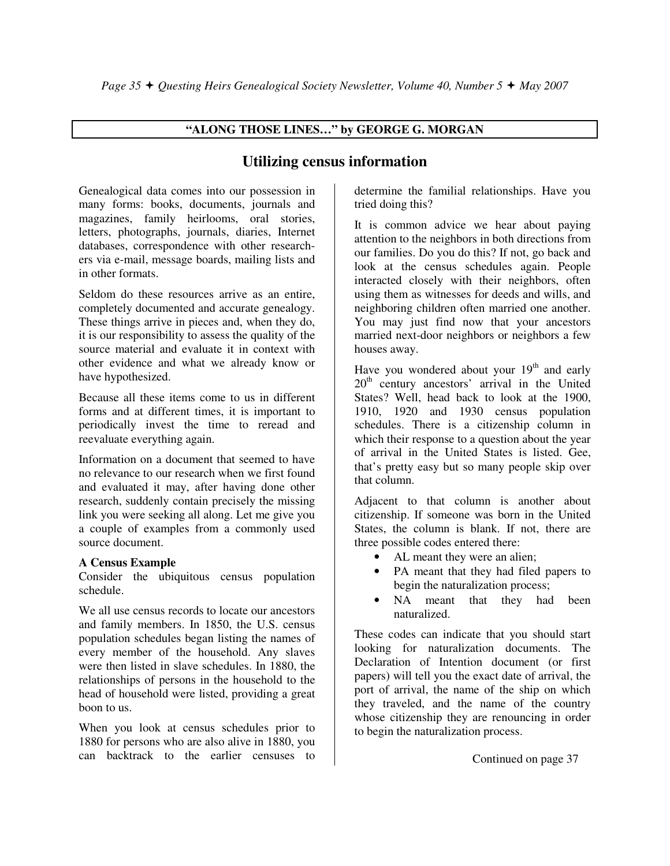## **"ALONG THOSE LINES…" by GEORGE G. MORGAN**

# **Utilizing census information**

Genealogical data comes into our possession in many forms: books, documents, journals and magazines, family heirlooms, oral stories, letters, photographs, journals, diaries, Internet databases, correspondence with other researchers via e-mail, message boards, mailing lists and in other formats.

Seldom do these resources arrive as an entire, completely documented and accurate genealogy. These things arrive in pieces and, when they do, it is our responsibility to assess the quality of the source material and evaluate it in context with other evidence and what we already know or have hypothesized.

Because all these items come to us in different forms and at different times, it is important to periodically invest the time to reread and reevaluate everything again.

Information on a document that seemed to have no relevance to our research when we first found and evaluated it may, after having done other research, suddenly contain precisely the missing link you were seeking all along. Let me give you a couple of examples from a commonly used source document.

## **A Census Example**

Consider the ubiquitous census population schedule.

We all use census records to locate our ancestors and family members. In 1850, the U.S. census population schedules began listing the names of every member of the household. Any slaves were then listed in slave schedules. In 1880, the relationships of persons in the household to the head of household were listed, providing a great boon to us.

When you look at census schedules prior to 1880 for persons who are also alive in 1880, you can backtrack to the earlier censuses to

determine the familial relationships. Have you tried doing this?

It is common advice we hear about paying attention to the neighbors in both directions from our families. Do you do this? If not, go back and look at the census schedules again. People interacted closely with their neighbors, often using them as witnesses for deeds and wills, and neighboring children often married one another. You may just find now that your ancestors married next-door neighbors or neighbors a few houses away.

Have you wondered about your  $19<sup>th</sup>$  and early 20<sup>th</sup> century ancestors' arrival in the United States? Well, head back to look at the 1900, 1910, 1920 and 1930 census population schedules. There is a citizenship column in which their response to a question about the year of arrival in the United States is listed. Gee, that's pretty easy but so many people skip over that column.

Adjacent to that column is another about citizenship. If someone was born in the United States, the column is blank. If not, there are three possible codes entered there:

- AL meant they were an alien;
- PA meant that they had filed papers to begin the naturalization process;
- NA meant that they had been naturalized.

These codes can indicate that you should start looking for naturalization documents. The Declaration of Intention document (or first papers) will tell you the exact date of arrival, the port of arrival, the name of the ship on which they traveled, and the name of the country whose citizenship they are renouncing in order to begin the naturalization process.

Continued on page 37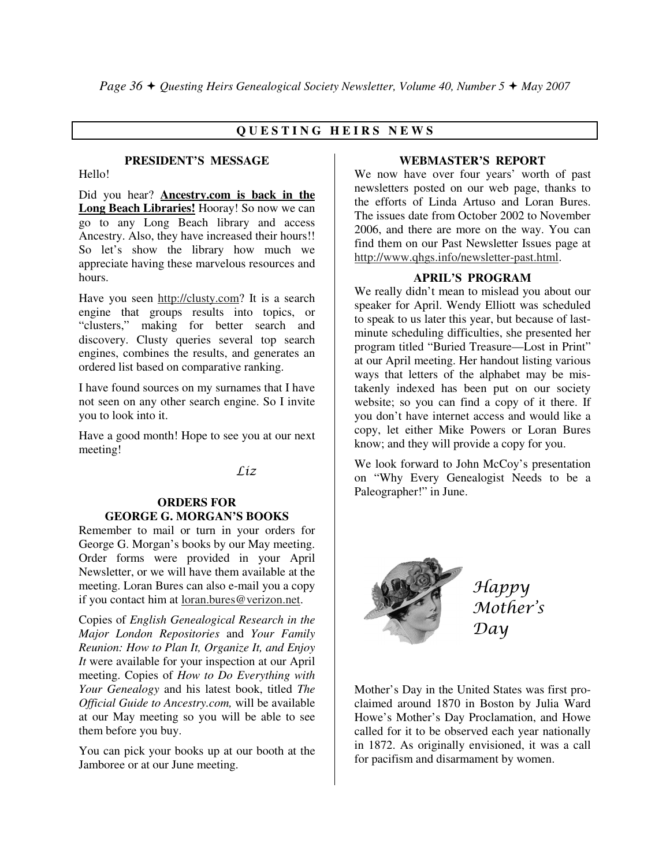## **Q U E S T I N G H E I R S N E W S**

#### **PRESIDENT'S MESSAGE**

Hello!

Did you hear? **Ancestry.com is back in the Long Beach Libraries!** Hooray! So now we can go to any Long Beach library and access Ancestry. Also, they have increased their hours!! So let's show the library how much we appreciate having these marvelous resources and hours.

Have you seen http://clusty.com? It is a search engine that groups results into topics, or "clusters," making for better search and discovery. Clusty queries several top search engines, combines the results, and generates an ordered list based on comparative ranking.

I have found sources on my surnames that I have not seen on any other search engine. So I invite you to look into it.

Have a good month! Hope to see you at our next meeting!

Liz

## **ORDERS FOR GEORGE G. MORGAN'S BOOKS**

Remember to mail or turn in your orders for George G. Morgan's books by our May meeting. Order forms were provided in your April Newsletter, or we will have them available at the meeting. Loran Bures can also e-mail you a copy if you contact him at loran.bures@verizon.net.

Copies of *English Genealogical Research in the Major London Repositories* and *Your Family Reunion: How to Plan It, Organize It, and Enjoy It* were available for your inspection at our April meeting. Copies of *How to Do Everything with Your Genealogy* and his latest book, titled *The Official Guide to Ancestry.com,* will be available at our May meeting so you will be able to see them before you buy.

You can pick your books up at our booth at the Jamboree or at our June meeting.

#### **WEBMASTER'S REPORT**

We now have over four years' worth of past newsletters posted on our web page, thanks to the efforts of Linda Artuso and Loran Bures. The issues date from October 2002 to November 2006, and there are more on the way. You can find them on our Past Newsletter Issues page at http://www.qhgs.info/newsletter-past.html.

#### **APRIL'S PROGRAM**

We really didn't mean to mislead you about our speaker for April. Wendy Elliott was scheduled to speak to us later this year, but because of lastminute scheduling difficulties, she presented her program titled "Buried Treasure—Lost in Print" at our April meeting. Her handout listing various ways that letters of the alphabet may be mistakenly indexed has been put on our society website; so you can find a copy of it there. If you don't have internet access and would like a copy, let either Mike Powers or Loran Bures know; and they will provide a copy for you.

We look forward to John McCoy's presentation on "Why Every Genealogist Needs to be a Paleographer!" in June.



Happy Mother's Day

Mother's Day in the United States was first proclaimed around 1870 in Boston by Julia Ward Howe's Mother's Day Proclamation, and Howe called for it to be observed each year nationally in 1872. As originally envisioned, it was a call for pacifism and disarmament by women.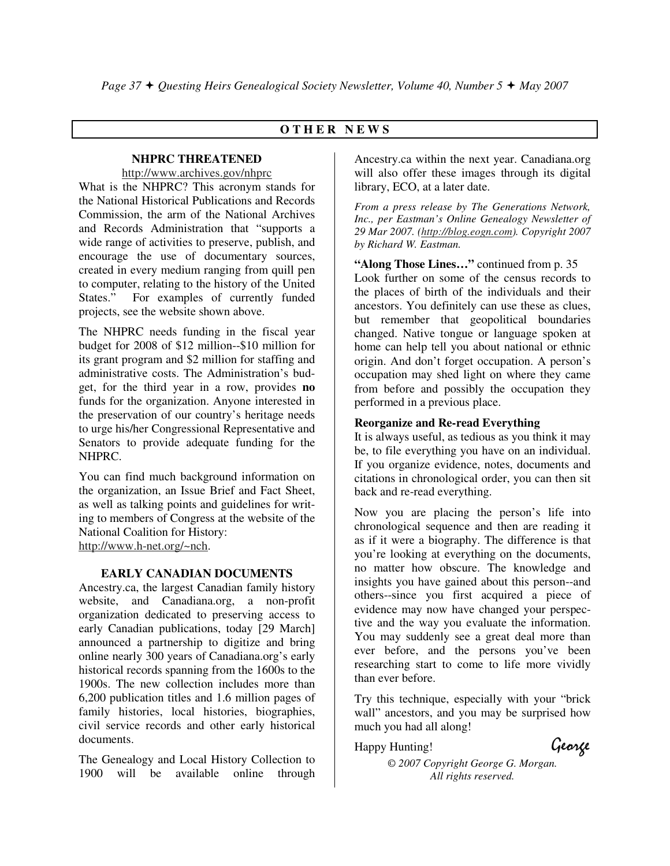## **O T H E R N E W S**

## **NHPRC THREATENED**

http://www.archives.gov/nhprc

What is the NHPRC? This acronym stands for the National Historical Publications and Records Commission, the arm of the National Archives and Records Administration that "supports a wide range of activities to preserve, publish, and encourage the use of documentary sources, created in every medium ranging from quill pen to computer, relating to the history of the United<br>States." For examples of currently funded For examples of currently funded projects, see the website shown above.

The NHPRC needs funding in the fiscal year budget for 2008 of \$12 million--\$10 million for its grant program and \$2 million for staffing and administrative costs. The Administration's budget, for the third year in a row, provides **no** funds for the organization. Anyone interested in the preservation of our country's heritage needs to urge his/her Congressional Representative and Senators to provide adequate funding for the NHPRC.

You can find much background information on the organization, an Issue Brief and Fact Sheet, as well as talking points and guidelines for writing to members of Congress at the website of the National Coalition for History: http://www.h-net.org/~nch.

## **EARLY CANADIAN DOCUMENTS**

Ancestry.ca, the largest Canadian family history website, and Canadiana.org, a non-profit organization dedicated to preserving access to early Canadian publications, today [29 March] announced a partnership to digitize and bring online nearly 300 years of Canadiana.org's early historical records spanning from the 1600s to the 1900s. The new collection includes more than 6,200 publication titles and 1.6 million pages of family histories, local histories, biographies, civil service records and other early historical documents.

The Genealogy and Local History Collection to 1900 will be available online through

Ancestry.ca within the next year. Canadiana.org will also offer these images through its digital library, ECO, at a later date.

*From a press release by The Generations Network, Inc., per Eastman's Online Genealogy Newsletter of 29 Mar 2007. (http://blog.eogn.com). Copyright 2007 by Richard W. Eastman.* 

**"Along Those Lines…"** continued from p. 35 Look further on some of the census records to the places of birth of the individuals and their ancestors. You definitely can use these as clues, but remember that geopolitical boundaries changed. Native tongue or language spoken at home can help tell you about national or ethnic origin. And don't forget occupation. A person's occupation may shed light on where they came from before and possibly the occupation they performed in a previous place.

## **Reorganize and Re-read Everything**

It is always useful, as tedious as you think it may be, to file everything you have on an individual. If you organize evidence, notes, documents and citations in chronological order, you can then sit back and re-read everything.

Now you are placing the person's life into chronological sequence and then are reading it as if it were a biography. The difference is that you're looking at everything on the documents, no matter how obscure. The knowledge and insights you have gained about this person--and others--since you first acquired a piece of evidence may now have changed your perspective and the way you evaluate the information. You may suddenly see a great deal more than ever before, and the persons you've been researching start to come to life more vividly than ever before.

Try this technique, especially with your "brick wall" ancestors, and you may be surprised how much you had all along!

Happy Hunting! George

*© 2007 Copyright George G. Morgan. All rights reserved.*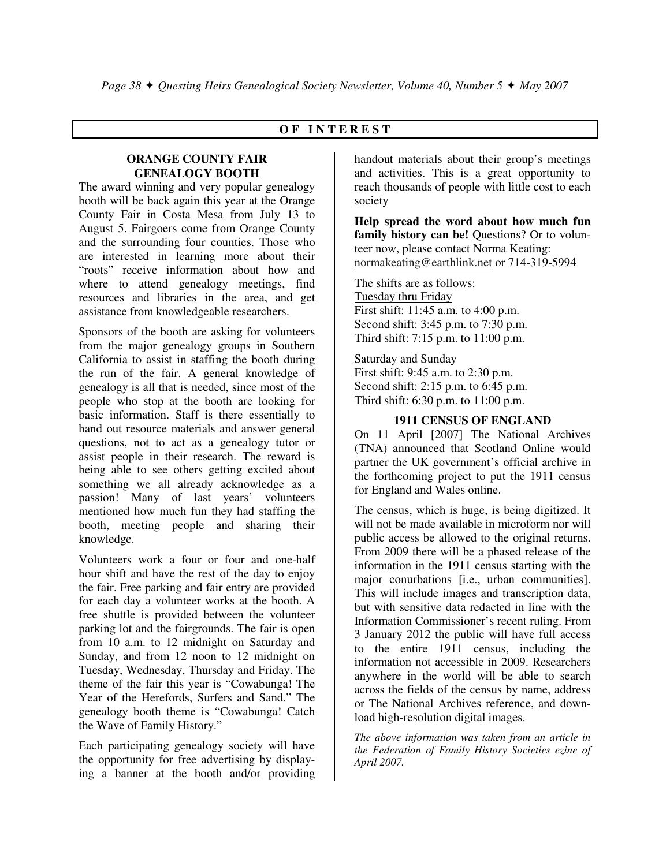## **O F I N T E R E S T**

#### **ORANGE COUNTY FAIR GENEALOGY BOOTH**

The award winning and very popular genealogy booth will be back again this year at the Orange County Fair in Costa Mesa from July 13 to August 5. Fairgoers come from Orange County and the surrounding four counties. Those who are interested in learning more about their "roots" receive information about how and where to attend genealogy meetings, find resources and libraries in the area, and get assistance from knowledgeable researchers.

Sponsors of the booth are asking for volunteers from the major genealogy groups in Southern California to assist in staffing the booth during the run of the fair. A general knowledge of genealogy is all that is needed, since most of the people who stop at the booth are looking for basic information. Staff is there essentially to hand out resource materials and answer general questions, not to act as a genealogy tutor or assist people in their research. The reward is being able to see others getting excited about something we all already acknowledge as a passion! Many of last years' volunteers mentioned how much fun they had staffing the booth, meeting people and sharing their knowledge.

Volunteers work a four or four and one-half hour shift and have the rest of the day to enjoy the fair. Free parking and fair entry are provided for each day a volunteer works at the booth. A free shuttle is provided between the volunteer parking lot and the fairgrounds. The fair is open from 10 a.m. to 12 midnight on Saturday and Sunday, and from 12 noon to 12 midnight on Tuesday, Wednesday, Thursday and Friday. The theme of the fair this year is "Cowabunga! The Year of the Herefords, Surfers and Sand." The genealogy booth theme is "Cowabunga! Catch the Wave of Family History."

Each participating genealogy society will have the opportunity for free advertising by displaying a banner at the booth and/or providing

handout materials about their group's meetings and activities. This is a great opportunity to reach thousands of people with little cost to each society

**Help spread the word about how much fun**  family history can be! Questions? Or to volunteer now, please contact Norma Keating: normakeating@earthlink.net or 714-319-5994

The shifts are as follows: Tuesday thru Friday First shift: 11:45 a.m. to 4:00 p.m. Second shift: 3:45 p.m. to 7:30 p.m. Third shift: 7:15 p.m. to 11:00 p.m.

Saturday and Sunday

First shift: 9:45 a.m. to 2:30 p.m. Second shift: 2:15 p.m. to 6:45 p.m. Third shift: 6:30 p.m. to 11:00 p.m.

#### **1911 CENSUS OF ENGLAND**

On 11 April [2007] The National Archives (TNA) announced that Scotland Online would partner the UK government's official archive in the forthcoming project to put the 1911 census for England and Wales online.

The census, which is huge, is being digitized. It will not be made available in microform nor will public access be allowed to the original returns. From 2009 there will be a phased release of the information in the 1911 census starting with the major conurbations [i.e., urban communities]. This will include images and transcription data, but with sensitive data redacted in line with the Information Commissioner's recent ruling. From 3 January 2012 the public will have full access to the entire 1911 census, including the information not accessible in 2009. Researchers anywhere in the world will be able to search across the fields of the census by name, address or The National Archives reference, and download high-resolution digital images.

*The above information was taken from an article in the Federation of Family History Societies ezine of April 2007.*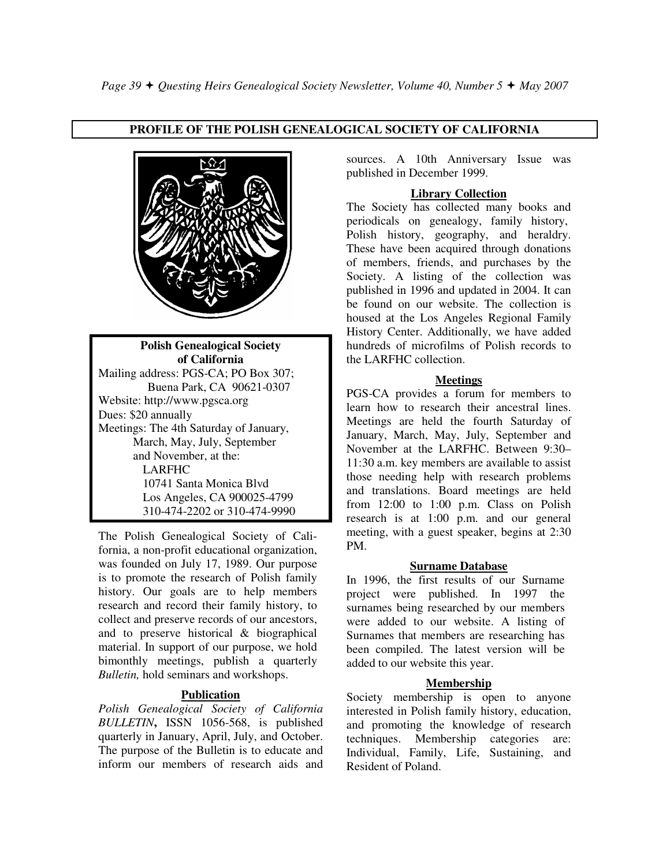## **PROFILE OF THE POLISH GENEALOGICAL SOCIETY OF CALIFORNIA**



**Polish Genealogical Society of California**  Mailing address: PGS-CA; PO Box 307; Buena Park, CA 90621-0307 Website: http://www.pgsca.org Dues: \$20 annually Meetings: The 4th Saturday of January, March, May, July, September and November, at the: LARFHC 10741 Santa Monica Blvd Los Angeles, CA 900025-4799 310-474-2202 or 310-474-9990

The Polish Genealogical Society of California, a non-profit educational organization, was founded on July 17, 1989. Our purpose is to promote the research of Polish family history. Our goals are to help members research and record their family history, to collect and preserve records of our ancestors, and to preserve historical & biographical material. In support of our purpose, we hold bimonthly meetings, publish a quarterly *Bulletin,* hold seminars and workshops.

## **Publication**

*Polish Genealogical Society of California BULLETIN***,** ISSN 1056-568, is published quarterly in January, April, July, and October. The purpose of the Bulletin is to educate and inform our members of research aids and sources. A 10th Anniversary Issue was published in December 1999.

### **Library Collection**

The Society has collected many books and periodicals on genealogy, family history, Polish history, geography, and heraldry. These have been acquired through donations of members, friends, and purchases by the Society. A listing of the collection was published in 1996 and updated in 2004. It can be found on our website. The collection is housed at the Los Angeles Regional Family History Center. Additionally, we have added hundreds of microfilms of Polish records to the LARFHC collection.

#### **Meetings**

PGS-CA provides a forum for members to learn how to research their ancestral lines. Meetings are held the fourth Saturday of January, March, May, July, September and November at the LARFHC. Between 9:30– 11:30 a.m. key members are available to assist those needing help with research problems and translations. Board meetings are held from 12:00 to 1:00 p.m. Class on Polish research is at 1:00 p.m. and our general meeting, with a guest speaker, begins at 2:30 PM.

#### **Surname Database**

In 1996, the first results of our Surname project were published. In 1997 the surnames being researched by our members were added to our website. A listing of Surnames that members are researching has been compiled. The latest version will be added to our website this year.

## **Membership**

Society membership is open to anyone interested in Polish family history, education, and promoting the knowledge of research techniques. Membership categories are: Individual, Family, Life, Sustaining, and Resident of Poland.